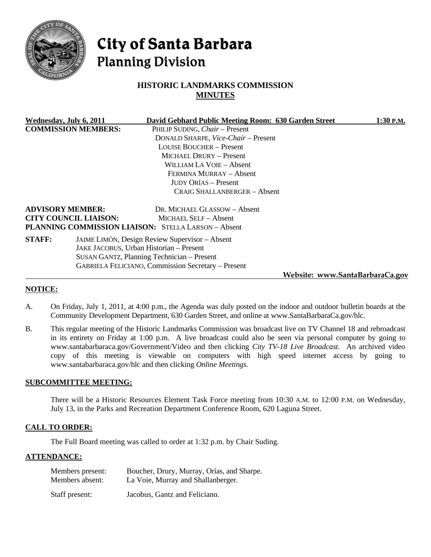

# **City of Santa Barbara Planning Division**

# **HISTORIC LANDMARKS COMMISSION MINUTES**

| Wednesday, July 6, 2011    |                              | David Gebhard Public Meeting Room: 630 Garden Street      |                                 | $1:30$ P.M. |
|----------------------------|------------------------------|-----------------------------------------------------------|---------------------------------|-------------|
| <b>COMMISSION MEMBERS:</b> |                              | PHILIP SUDING, Chair - Present                            |                                 |             |
|                            |                              | DONALD SHARPE, Vice-Chair - Present                       |                                 |             |
|                            |                              | LOUISE BOUCHER - Present                                  |                                 |             |
|                            |                              | MICHAEL DRURY - Present                                   |                                 |             |
|                            |                              | WILLIAM LA VOIE – Absent                                  |                                 |             |
|                            |                              | FERMINA MURRAY - Absent                                   |                                 |             |
|                            |                              | <b>JUDY ORÍAS – Present</b>                               |                                 |             |
|                            |                              | <b>CRAIG SHALLANBERGER - Absent</b>                       |                                 |             |
| <b>ADVISORY MEMBER:</b>    |                              | DR. MICHAEL GLASSOW - Absent                              |                                 |             |
|                            | <b>CITY COUNCIL LIAISON:</b> | <b>MICHAEL SELF - Absent</b>                              |                                 |             |
|                            |                              | PLANNING COMMISSION LIAISON: STELLA LARSON - Absent       |                                 |             |
| <b>STAFF:</b>              |                              | JAIME LIMÓN, Design Review Supervisor - Absent            |                                 |             |
|                            |                              | JAKE JACOBUS, Urban Historian - Present                   |                                 |             |
|                            |                              | SUSAN GANTZ, Planning Technician - Present                |                                 |             |
|                            |                              | <b>GABRIELA FELICIANO, Commission Secretary – Present</b> |                                 |             |
|                            |                              |                                                           | Website: www.SantaBarbaraCa.gov |             |

#### **NOTICE:**

- A. On Friday, July 1, 2011, at 4:00 p.m., the Agenda was duly posted on the indoor and outdoor bulletin boards at the Community Development Department, 630 Garden Street, and online at www.SantaBarbaraCa.gov/hlc.
- B. This regular meeting of the Historic Landmarks Commission was broadcast live on TV Channel 18 and rebroadcast in its entirety on Friday at 1:00 p.m. A live broadcast could also be seen via personal computer by going to [www.santabarbaraca.gov/Government/Video](http://www.santabarbaraca.gov/Government/Video) and then clicking *City TV-18 Live Broadcast*. An archived video copy of this meeting is viewable on computers with high speed internet access by going to [www.santabarbaraca.gov/](http://www.santabarbaraca.gov/)hlc and then clicking *Online Meetings*.

#### **SUBCOMMITTEE MEETING:**

There will be a Historic Resources Element Task Force meeting from 10:30 A.M. to 12:00 P.M. on Wednesday, July 13, in the Parks and Recreation Department Conference Room, 620 Laguna Street.

#### **CALL TO ORDER:**

The Full Board meeting was called to order at 1:32 p.m. by Chair Suding.

#### **ATTENDANCE:**

| Members present: | Boucher, Drury, Murray, Orías, and Sharpe. |
|------------------|--------------------------------------------|
| Members absent:  | La Voie, Murray and Shallanberger.         |
| Staff present:   | Jacobus, Gantz and Feliciano.              |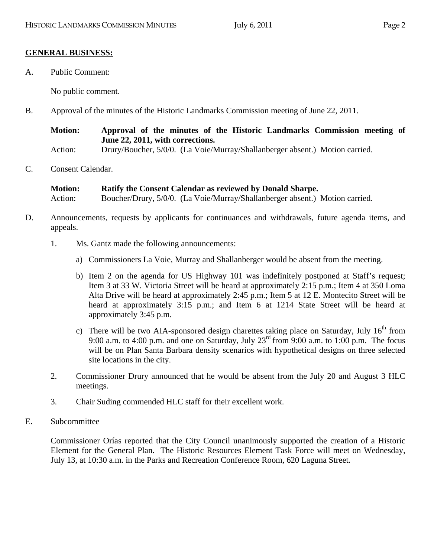# **GENERAL BUSINESS:**

A. Public Comment:

No public comment.

B. Approval of the minutes of the Historic Landmarks Commission meeting of June 22, 2011.

**Motion: Approval of the minutes of the Historic Landmarks Commission meeting of June 22, 2011, with corrections.** 

Action: Drury/Boucher, 5/0/0. (La Voie/Murray/Shallanberger absent.) Motion carried.

C. Consent Calendar.

**Motion: Ratify the Consent Calendar as reviewed by Donald Sharpe.**  Action: Boucher/Drury, 5/0/0. (La Voie/Murray/Shallanberger absent.) Motion carried.

- D. Announcements, requests by applicants for continuances and withdrawals, future agenda items, and appeals.
	- 1. Ms. Gantz made the following announcements:
		- a) Commissioners La Voie, Murray and Shallanberger would be absent from the meeting.
		- b) Item 2 on the agenda for US Highway 101 was indefinitely postponed at Staff's request; Item 3 at 33 W. Victoria Street will be heard at approximately 2:15 p.m.; Item 4 at 350 Loma Alta Drive will be heard at approximately 2:45 p.m.; Item 5 at 12 E. Montecito Street will be heard at approximately 3:15 p.m.; and Item 6 at 1214 State Street will be heard at approximately 3:45 p.m.
		- c) There will be two AIA-sponsored design charettes taking place on Saturday, July  $16<sup>th</sup>$  from 9:00 a.m. to 4:00 p.m. and one on Saturday, July  $23^{\text{rd}}$  from 9:00 a.m. to 1:00 p.m. The focus will be on Plan Santa Barbara density scenarios with hypothetical designs on three selected site locations in the city.
	- 2. Commissioner Drury announced that he would be absent from the July 20 and August 3 HLC meetings.
	- 3. Chair Suding commended HLC staff for their excellent work.
- E. Subcommittee

Commissioner Orías reported that the City Council unanimously supported the creation of a Historic Element for the General Plan. The Historic Resources Element Task Force will meet on Wednesday, July 13, at 10:30 a.m. in the Parks and Recreation Conference Room, 620 Laguna Street.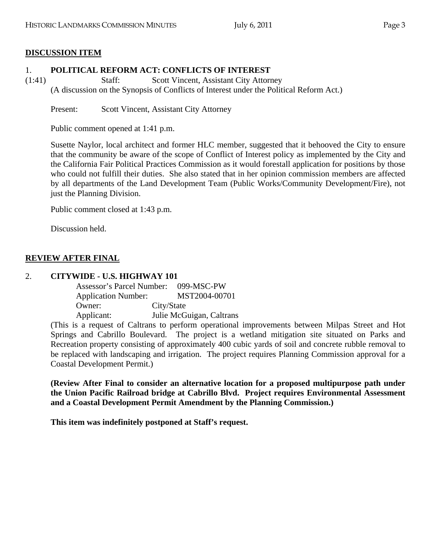# **DISCUSSION ITEM**

## 1. **POLITICAL REFORM ACT: CONFLICTS OF INTEREST**

(1:41) Staff: Scott Vincent, Assistant City Attorney

(A discussion on the Synopsis of Conflicts of Interest under the Political Reform Act.)

Present: Scott Vincent, Assistant City Attorney

Public comment opened at 1:41 p.m.

Susette Naylor, local architect and former HLC member, suggested that it behooved the City to ensure that the community be aware of the scope of Conflict of Interest policy as implemented by the City and the California Fair Political Practices Commission as it would forestall application for positions by those who could not fulfill their duties. She also stated that in her opinion commission members are affected by all departments of the Land Development Team (Public Works/Community Development/Fire), not just the Planning Division.

Public comment closed at 1:43 p.m.

Discussion held.

# **REVIEW AFTER FINAL**

## 2. **CITYWIDE - U.S. HIGHWAY 101**

| Assessor's Parcel Number:  | $099-MSC-PW$             |
|----------------------------|--------------------------|
| <b>Application Number:</b> | MST2004-00701            |
| Owner:                     | City/State               |
| Applicant:                 | Julie McGuigan, Caltrans |

(This is a request of Caltrans to perform operational improvements between Milpas Street and Hot Springs and Cabrillo Boulevard. The project is a wetland mitigation site situated on Parks and Recreation property consisting of approximately 400 cubic yards of soil and concrete rubble removal to be replaced with landscaping and irrigation. The project requires Planning Commission approval for a Coastal Development Permit.)

**(Review After Final to consider an alternative location for a proposed multipurpose path under the Union Pacific Railroad bridge at Cabrillo Blvd. Project requires Environmental Assessment and a Coastal Development Permit Amendment by the Planning Commission.)** 

**This item was indefinitely postponed at Staff's request.**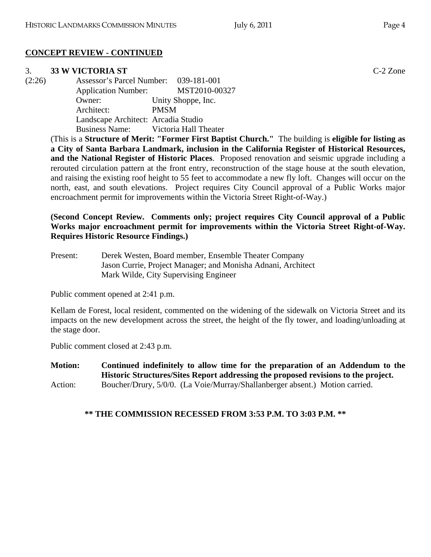# **CONCEPT REVIEW - CONTINUED**

# 3. **33 W VICTORIA ST** C-2 Zone

(2:26) Assessor's Parcel Number: 039-181-001 Application Number: MST2010-00327 Owner: Unity Shoppe, Inc. Architect: PMSM Landscape Architect: Arcadia Studio Business Name: Victoria Hall Theater

(This is a **Structure of Merit: "Former First Baptist Church."** The building is **eligible for listing as a City of Santa Barbara Landmark, inclusion in the California Register of Historical Resources, and the National Register of Historic Places**. Proposed renovation and seismic upgrade including a rerouted circulation pattern at the front entry, reconstruction of the stage house at the south elevation, and raising the existing roof height to 55 feet to accommodate a new fly loft. Changes will occur on the north, east, and south elevations. Project requires City Council approval of a Public Works major encroachment permit for improvements within the Victoria Street Right-of-Way.)

## **(Second Concept Review. Comments only; project requires City Council approval of a Public Works major encroachment permit for improvements within the Victoria Street Right-of-Way. Requires Historic Resource Findings.)**

Present: Derek Westen, Board member, Ensemble Theater Company Jason Currie, Project Manager; and Monisha Adnani, Architect Mark Wilde, City Supervising Engineer

Public comment opened at 2:41 p.m.

Kellam de Forest, local resident, commented on the widening of the sidewalk on Victoria Street and its impacts on the new development across the street, the height of the fly tower, and loading/unloading at the stage door.

Public comment closed at 2:43 p.m.

**Motion: Continued indefinitely to allow time for the preparation of an Addendum to the Historic Structures/Sites Report addressing the proposed revisions to the project.**  Action: Boucher/Drury, 5/0/0. (La Voie/Murray/Shallanberger absent.) Motion carried.

**\*\* THE COMMISSION RECESSED FROM 3:53 P.M. TO 3:03 P.M. \*\***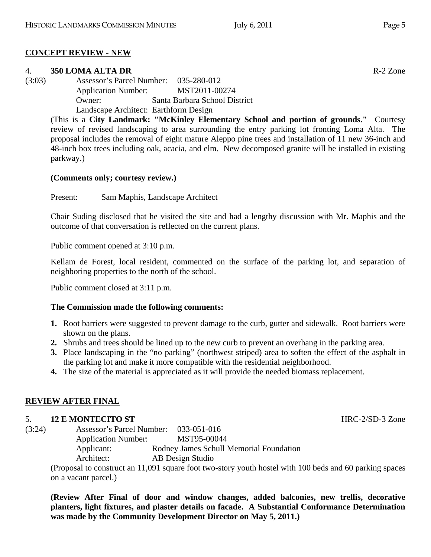# **CONCEPT REVIEW - NEW**

# 4. **350 LOMA ALTA DR** R-2 Zone

(3:03) Assessor's Parcel Number: 035-280-012 Application Number: MST2011-00274 Owner: Santa Barbara School District Landscape Architect: Earthform Design

(This is a **City Landmark: "McKinley Elementary School and portion of grounds."** Courtesy review of revised landscaping to area surrounding the entry parking lot fronting Loma Alta. The proposal includes the removal of eight mature Aleppo pine trees and installation of 11 new 36-inch and 48-inch box trees including oak, acacia, and elm. New decomposed granite will be installed in existing parkway.)

# **(Comments only; courtesy review.)**

Present: Sam Maphis, Landscape Architect

Chair Suding disclosed that he visited the site and had a lengthy discussion with Mr. Maphis and the outcome of that conversation is reflected on the current plans.

Public comment opened at 3:10 p.m.

Kellam de Forest, local resident, commented on the surface of the parking lot, and separation of neighboring properties to the north of the school.

Public comment closed at 3:11 p.m.

# **The Commission made the following comments:**

- **1.** Root barriers were suggested to prevent damage to the curb, gutter and sidewalk. Root barriers were shown on the plans.
- **2.** Shrubs and trees should be lined up to the new curb to prevent an overhang in the parking area.
- **3.** Place landscaping in the "no parking" (northwest striped) area to soften the effect of the asphalt in the parking lot and make it more compatible with the residential neighborhood.
- **4.** The size of the material is appreciated as it will provide the needed biomass replacement.

# **REVIEW AFTER FINAL**

# 5. **12 E MONTECITO ST** HRC-2/SD-3 Zone

(3:24) Assessor's Parcel Number: 033-051-016 Application Number: MST95-00044 Applicant: Rodney James Schull Memorial Foundation Architect: AB Design Studio

(Proposal to construct an 11,091 square foot two-story youth hostel with 100 beds and 60 parking spaces on a vacant parcel.)

**(Review After Final of door and window changes, added balconies, new trellis, decorative planters, light fixtures, and plaster details on facade. A Substantial Conformance Determination was made by the Community Development Director on May 5, 2011.)**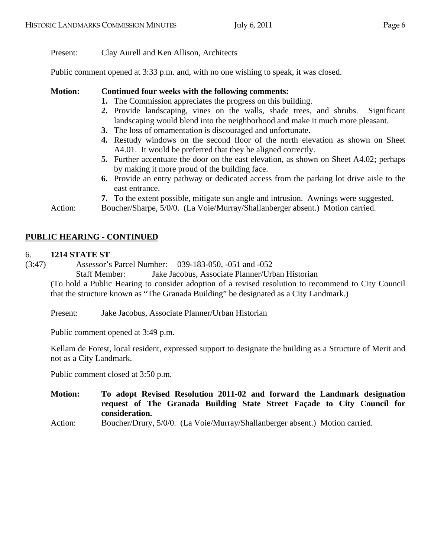Present: Clay Aurell and Ken Allison, Architects

Public comment opened at 3:33 p.m. and, with no one wishing to speak, it was closed.

- **Motion: Continued four weeks with the following comments:** 
	- **1.** The Commission appreciates the progress on this building.
	- **2.** Provide landscaping, vines on the walls, shade trees, and shrubs. Significant landscaping would blend into the neighborhood and make it much more pleasant.
	- **3.** The loss of ornamentation is discouraged and unfortunate.
	- **4.** Restudy windows on the second floor of the north elevation as shown on Sheet A4.01. It would be preferred that they be aligned correctly.
	- **5.** Further accentuate the door on the east elevation, as shown on Sheet A4.02; perhaps by making it more proud of the building face.
	- **6.** Provide an entry pathway or dedicated access from the parking lot drive aisle to the east entrance.
	- **7.** To the extent possible, mitigate sun angle and intrusion. Awnings were suggested.

Action: Boucher/Sharpe, 5/0/0. (La Voie/Murray/Shallanberger absent.) Motion carried.

# **PUBLIC HEARING - CONTINUED**

#### 6. **1214 STATE ST**

(3:47) Assessor's Parcel Number: 039-183-050, -051 and -052

Staff Member: Jake Jacobus, Associate Planner/Urban Historian (To hold a Public Hearing to consider adoption of a revised resolution to recommend to City Council that the structure known as "The Granada Building" be designated as a City Landmark.)

Present: Jake Jacobus, Associate Planner/Urban Historian

Public comment opened at 3:49 p.m.

Kellam de Forest, local resident, expressed support to designate the building as a Structure of Merit and not as a City Landmark.

Public comment closed at 3:50 p.m.

- **Motion: To adopt Revised Resolution 2011-02 and forward the Landmark designation request of The Granada Building State Street Façade to City Council for consideration.**
- Action: Boucher/Drury, 5/0/0. (La Voie/Murray/Shallanberger absent.) Motion carried.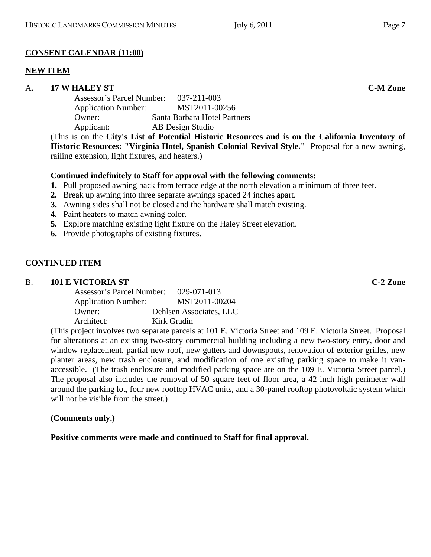# **CONSENT CALENDAR (11:00)**

# **NEW ITEM**

# A. **17 W HALEY ST C-M Zone**

| Assessor's Parcel Number:  | 037-211-003                  |
|----------------------------|------------------------------|
| <b>Application Number:</b> | MST2011-00256                |
| Owner:                     | Santa Barbara Hotel Partners |
| Applicant:                 | AB Design Studio             |
|                            |                              |

(This is on the **City's List of Potential Historic Resources and is on the California Inventory of Historic Resources: "Virginia Hotel, Spanish Colonial Revival Style."** Proposal for a new awning, railing extension, light fixtures, and heaters.)

# **Continued indefinitely to Staff for approval with the following comments:**

- **1.** Pull proposed awning back from terrace edge at the north elevation a minimum of three feet.
- **2.** Break up awning into three separate awnings spaced 24 inches apart.
- **3.** Awning sides shall not be closed and the hardware shall match existing.
- **4.** Paint heaters to match awning color.
- **5.** Explore matching existing light fixture on the Haley Street elevation.
- **6.** Provide photographs of existing fixtures.

# **CONTINUED ITEM**

# B. **101 E VICTORIA ST C-2 Zone**

| <b>Assessor's Parcel Number:</b><br>029-071-013 |
|-------------------------------------------------|
| MST2011-00204                                   |
| Dehlsen Associates, LLC                         |
| Kirk Gradin                                     |
|                                                 |

(This project involves two separate parcels at 101 E. Victoria Street and 109 E. Victoria Street. Proposal for alterations at an existing two-story commercial building including a new two-story entry, door and window replacement, partial new roof, new gutters and downspouts, renovation of exterior grilles, new planter areas, new trash enclosure, and modification of one existing parking space to make it vanaccessible. (The trash enclosure and modified parking space are on the 109 E. Victoria Street parcel.) The proposal also includes the removal of 50 square feet of floor area, a 42 inch high perimeter wall around the parking lot, four new rooftop HVAC units, and a 30-panel rooftop photovoltaic system which will not be visible from the street.)

# **(Comments only.)**

**Positive comments were made and continued to Staff for final approval.**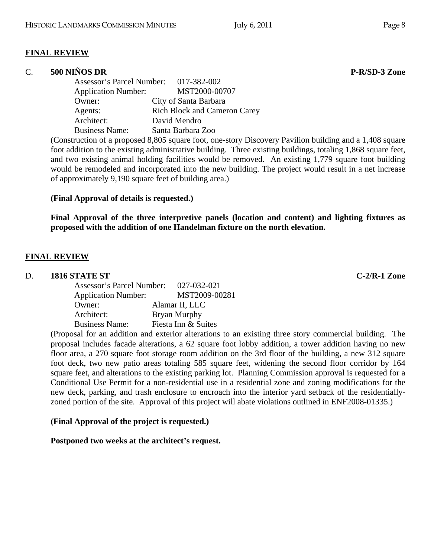#### **FINAL REVIEW**

### C. **500 NIÑOS DR P-R/SD-3 Zone**

| Assessor's Parcel Number: 017-382-002 |                                     |
|---------------------------------------|-------------------------------------|
| <b>Application Number:</b>            | MST2000-00707                       |
| Owner:                                | City of Santa Barbara               |
| Agents:                               | <b>Rich Block and Cameron Carey</b> |
| Architect:                            | David Mendro                        |
| <b>Business Name:</b>                 | Santa Barbara Zoo                   |

(Construction of a proposed 8,805 square foot, one-story Discovery Pavilion building and a 1,408 square foot addition to the existing administrative building. Three existing buildings, totaling 1,868 square feet, and two existing animal holding facilities would be removed. An existing 1,779 square foot building would be remodeled and incorporated into the new building. The project would result in a net increase of approximately 9,190 square feet of building area.)

#### **(Final Approval of details is requested.)**

**Final Approval of the three interpretive panels (location and content) and lighting fixtures as proposed with the addition of one Handelman fixture on the north elevation.** 

#### **FINAL REVIEW**

#### D. **1816 STATE ST C-2/R-1 Zone**

| Assessor's Parcel Number:  | 027-032-021         |
|----------------------------|---------------------|
| <b>Application Number:</b> | MST2009-00281       |
| Owner:                     | Alamar II, LLC      |
| Architect:                 | Bryan Murphy        |
| <b>Business Name:</b>      | Fiesta Inn & Suites |

(Proposal for an addition and exterior alterations to an existing three story commercial building. The proposal includes facade alterations, a 62 square foot lobby addition, a tower addition having no new floor area, a 270 square foot storage room addition on the 3rd floor of the building, a new 312 square foot deck, two new patio areas totaling 585 square feet, widening the second floor corridor by 164 square feet, and alterations to the existing parking lot. Planning Commission approval is requested for a Conditional Use Permit for a non-residential use in a residential zone and zoning modifications for the new deck, parking, and trash enclosure to encroach into the interior yard setback of the residentiallyzoned portion of the site. Approval of this project will abate violations outlined in ENF2008-01335.)

#### **(Final Approval of the project is requested.)**

**Postponed two weeks at the architect's request.**